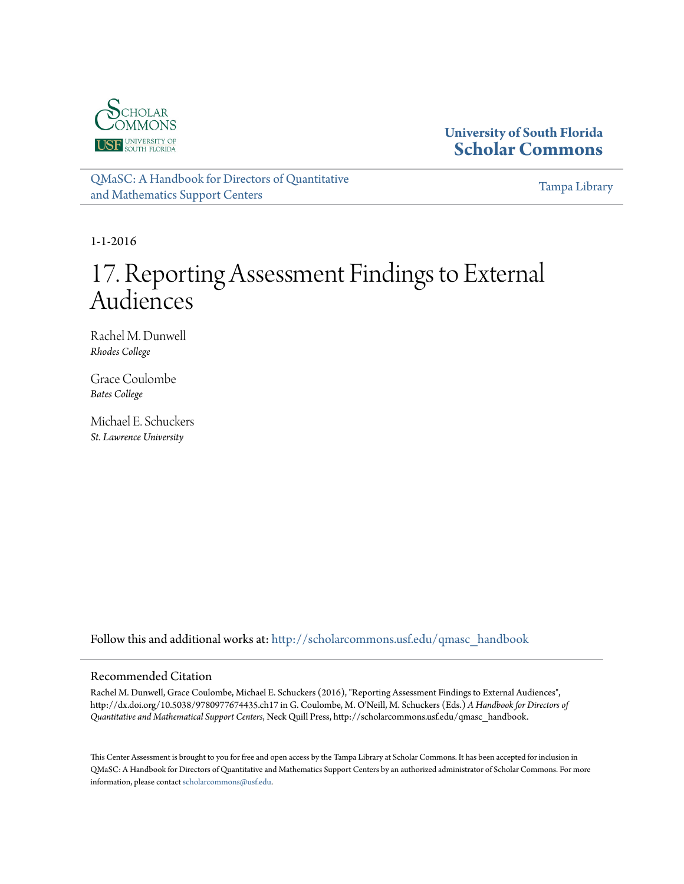

## **University of South Florida [Scholar Commons](http://scholarcommons.usf.edu?utm_source=scholarcommons.usf.edu%2Fqmasc_handbook%2F17&utm_medium=PDF&utm_campaign=PDFCoverPages)**

[QMaSC: A Handbook for Directors of Quantitative](http://scholarcommons.usf.edu/qmasc_handbook?utm_source=scholarcommons.usf.edu%2Fqmasc_handbook%2F17&utm_medium=PDF&utm_campaign=PDFCoverPages) [and Mathematics Support Centers](http://scholarcommons.usf.edu/qmasc_handbook?utm_source=scholarcommons.usf.edu%2Fqmasc_handbook%2F17&utm_medium=PDF&utm_campaign=PDFCoverPages)

[Tampa Library](http://scholarcommons.usf.edu/tlib?utm_source=scholarcommons.usf.edu%2Fqmasc_handbook%2F17&utm_medium=PDF&utm_campaign=PDFCoverPages)

1-1-2016

# 17. Reporting Assessment Findings to External Audiences

Rachel M. Dunwell *Rhodes College*

Grace Coulombe *Bates College*

Michael E. Schuckers *St. Lawrence University*

Follow this and additional works at: [http://scholarcommons.usf.edu/qmasc\\_handbook](http://scholarcommons.usf.edu/qmasc_handbook?utm_source=scholarcommons.usf.edu%2Fqmasc_handbook%2F17&utm_medium=PDF&utm_campaign=PDFCoverPages)

#### Recommended Citation

Rachel M. Dunwell, Grace Coulombe, Michael E. Schuckers (2016), "Reporting Assessment Findings to External Audiences", http://dx.doi.org/10.5038/9780977674435.ch17 in G. Coulombe, M. O'Neill, M. Schuckers (Eds.) *A Handbook for Directors of Quantitative and Mathematical Support Centers*, Neck Quill Press, http://scholarcommons.usf.edu/qmasc\_handbook.

This Center Assessment is brought to you for free and open access by the Tampa Library at Scholar Commons. It has been accepted for inclusion in QMaSC: A Handbook for Directors of Quantitative and Mathematics Support Centers by an authorized administrator of Scholar Commons. For more information, please contact [scholarcommons@usf.edu.](mailto:scholarcommons@usf.edu)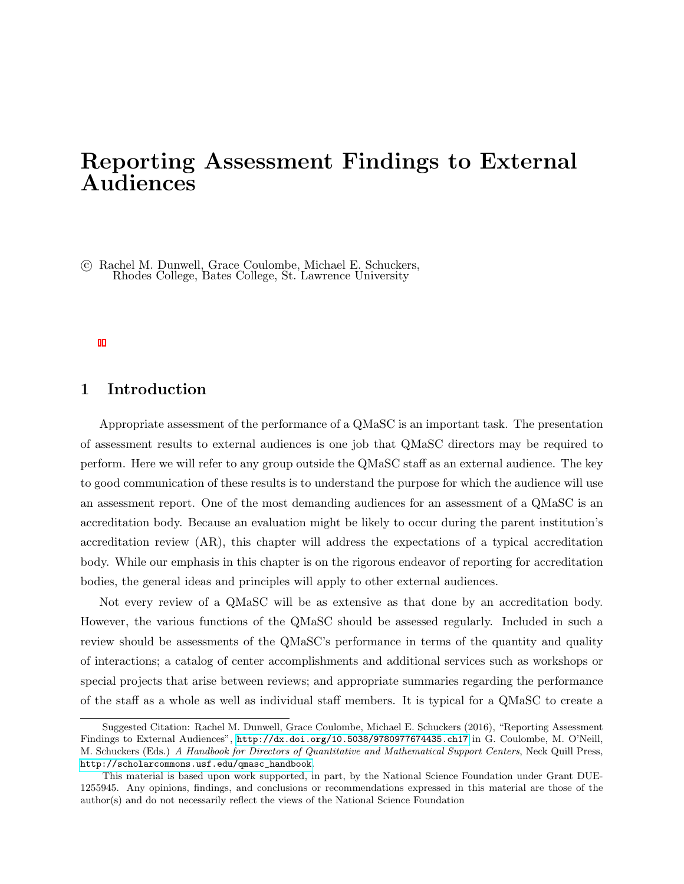# Reporting Assessment Findings to External Audiences

 c Rachel M. Dunwell, Grace Coulombe, Michael E. Schuckers, Rhodes College, Bates College, St. Lawrence University

## 1 Introduction

Appropriate assessment of the performance of a QMaSC is an important task. The presentation of assessment results to external audiences is one job that QMaSC directors may be required to perform. Here we will refer to any group outside the QMaSC staff as an external audience. The key to good communication of these results is to understand the purpose for which the audience will use an assessment report. One of the most demanding audiences for an assessment of a QMaSC is an accreditation body. Because an evaluation might be likely to occur during the parent institution's accreditation review (AR), this chapter will address the expectations of a typical accreditation body. While our emphasis in this chapter is on the rigorous endeavor of reporting for accreditation bodies, the general ideas and principles will apply to other external audiences.

Not every review of a QMaSC will be as extensive as that done by an accreditation body. However, the various functions of the QMaSC should be assessed regularly. Included in such a review should be assessments of the QMaSC's performance in terms of the quantity and quality of interactions; a catalog of center accomplishments and additional services such as workshops or special projects that arise between reviews; and appropriate summaries regarding the performance of the staff as a whole as well as individual staff members. It is typical for a QMaSC to create a

Suggested Citation: Rachel M. Dunwell, Grace Coulombe, Michael E. Schuckers (2016), "Reporting Assessment Findings to External Audiences", <http://dx.doi.org/10.5038/9780977674435.ch17> in G. Coulombe, M. O'Neill, M. Schuckers (Eds.) A Handbook for Directors of Quantitative and Mathematical Support Centers, Neck Quill Press, [http://scholarcommons.usf.edu/qmasc\\_handbook](http://scholarcommons.usf.edu/qmasc_handbook).

This material is based upon work supported, in part, by the National Science Foundation under Grant DUE-1255945. Any opinions, findings, and conclusions or recommendations expressed in this material are those of the author(s) and do not necessarily reflect the views of the National Science Foundation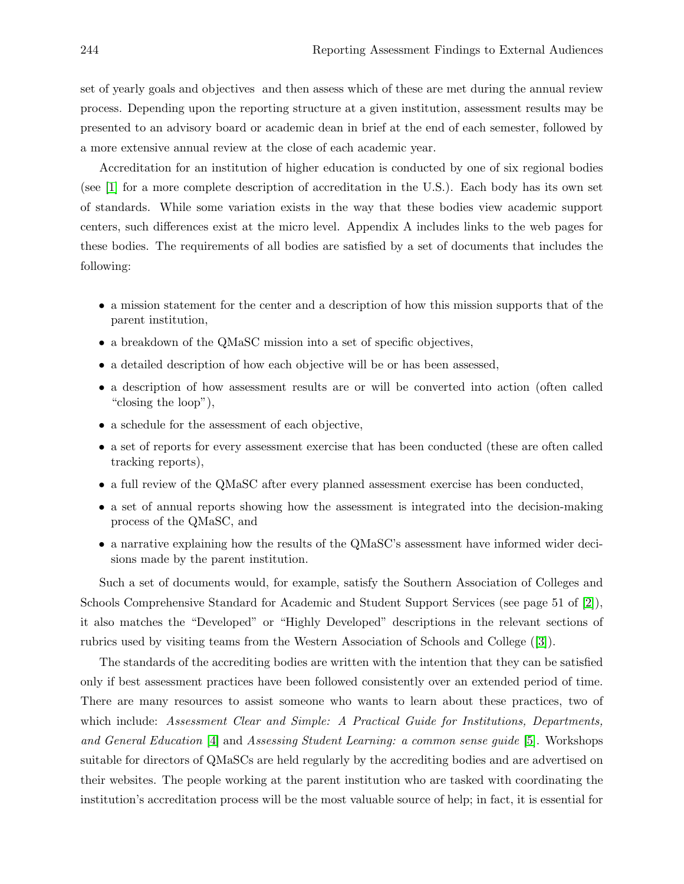set of yearly goals and objectives and then assess which of these are met during the annual review process. Depending upon the reporting structure at a given institution, assessment results may be presented to an advisory board or academic dean in brief at the end of each semester, followed by a more extensive annual review at the close of each academic year.

Accreditation for an institution of higher education is conducted by one of six regional bodies (see [1] for a more complete description of accreditation in the U.S.). Each body has its own set of standards. While some variation exists in the way that these bodies view academic support centers, such differences exist at the micro level. Appendix A includes links to the web pages for these bodies. The requirements of all bodies are satisfied by a set of documents that includes the following:

- a mission statement for the center and a description of how this mission supports that of the parent institution,
- a breakdown of the QMaSC mission into a set of specific objectives,
- a detailed description of how each objective will be or has been assessed,
- a description of how assessment results are or will be converted into action (often called "closing the loop"),
- a schedule for the assessment of each objective,
- a set of reports for every assessment exercise that has been conducted (these are often called tracking reports),
- a full review of the QMaSC after every planned assessment exercise has been conducted,
- a set of annual reports showing how the assessment is integrated into the decision-making process of the QMaSC, and
- a narrative explaining how the results of the QMaSC's assessment have informed wider decisions made by the parent institution.

Such a set of documents would, for example, satisfy the Southern Association of Colleges and Schools Comprehensive Standard for Academic and Student Support Services (see page 51 of [2]), it also matches the "Developed" or "Highly Developed" descriptions in the relevant sections of rubrics used by visiting teams from the Western Association of Schools and College ([3]).

The standards of the accrediting bodies are written with the intention that they can be satisfied only if best assessment practices have been followed consistently over an extended period of time. There are many resources to assist someone who wants to learn about these practices, two of which include: Assessment Clear and Simple: A Practical Guide for Institutions, Departments, and General Education [4] and Assessing Student Learning: a common sense guide [5]. Workshops suitable for directors of QMaSCs are held regularly by the accrediting bodies and are advertised on their websites. The people working at the parent institution who are tasked with coordinating the institution's accreditation process will be the most valuable source of help; in fact, it is essential for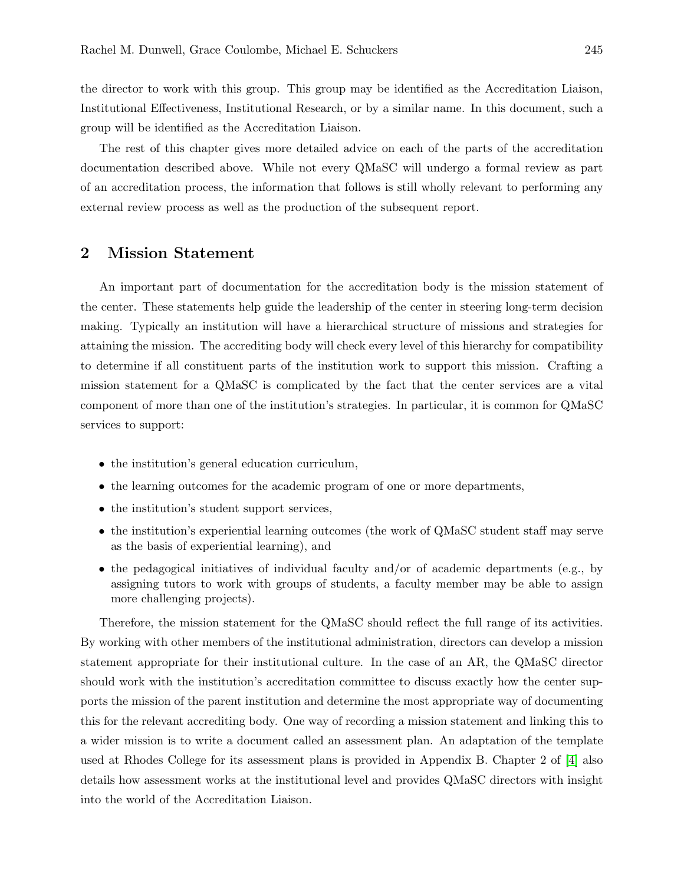the director to work with this group. This group may be identified as the Accreditation Liaison, Institutional Effectiveness, Institutional Research, or by a similar name. In this document, such a group will be identified as the Accreditation Liaison.

The rest of this chapter gives more detailed advice on each of the parts of the accreditation documentation described above. While not every QMaSC will undergo a formal review as part of an accreditation process, the information that follows is still wholly relevant to performing any external review process as well as the production of the subsequent report.

#### 2 Mission Statement

An important part of documentation for the accreditation body is the mission statement of the center. These statements help guide the leadership of the center in steering long-term decision making. Typically an institution will have a hierarchical structure of missions and strategies for attaining the mission. The accrediting body will check every level of this hierarchy for compatibility to determine if all constituent parts of the institution work to support this mission. Crafting a mission statement for a QMaSC is complicated by the fact that the center services are a vital component of more than one of the institution's strategies. In particular, it is common for QMaSC services to support:

- the institution's general education curriculum,
- the learning outcomes for the academic program of one or more departments,
- the institution's student support services,
- the institution's experiential learning outcomes (the work of QMaSC student staff may serve as the basis of experiential learning), and
- the pedagogical initiatives of individual faculty and/or of academic departments (e.g., by assigning tutors to work with groups of students, a faculty member may be able to assign more challenging projects).

Therefore, the mission statement for the QMaSC should reflect the full range of its activities. By working with other members of the institutional administration, directors can develop a mission statement appropriate for their institutional culture. In the case of an AR, the QMaSC director should work with the institution's accreditation committee to discuss exactly how the center supports the mission of the parent institution and determine the most appropriate way of documenting this for the relevant accrediting body. One way of recording a mission statement and linking this to a wider mission is to write a document called an assessment plan. An adaptation of the template used at Rhodes College for its assessment plans is provided in Appendix B. Chapter 2 of [4] also details how assessment works at the institutional level and provides QMaSC directors with insight into the world of the Accreditation Liaison.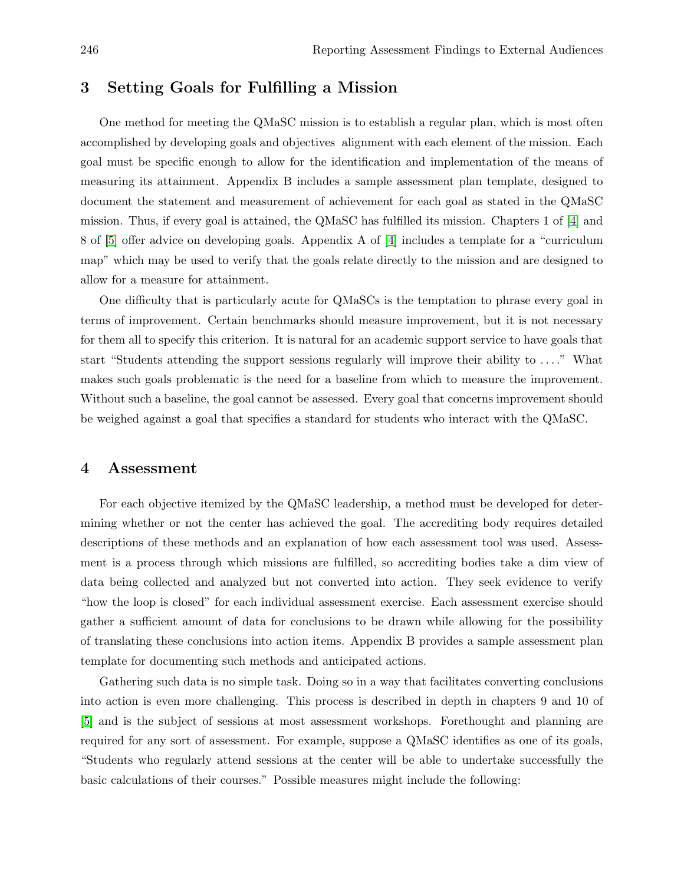#### 3 Setting Goals for Fulfilling a Mission

One method for meeting the QMaSC mission is to establish a regular plan, which is most often accomplished by developing goals and objectives alignment with each element of the mission. Each goal must be specific enough to allow for the identification and implementation of the means of measuring its attainment. Appendix B includes a sample assessment plan template, designed to document the statement and measurement of achievement for each goal as stated in the QMaSC mission. Thus, if every goal is attained, the QMaSC has fulfilled its mission. Chapters 1 of [4] and 8 of [5] offer advice on developing goals. Appendix A of [4] includes a template for a "curriculum map" which may be used to verify that the goals relate directly to the mission and are designed to allow for a measure for attainment.

One difficulty that is particularly acute for QMaSCs is the temptation to phrase every goal in terms of improvement. Certain benchmarks should measure improvement, but it is not necessary for them all to specify this criterion. It is natural for an academic support service to have goals that start "Students attending the support sessions regularly will improve their ability to . . . ." What makes such goals problematic is the need for a baseline from which to measure the improvement. Without such a baseline, the goal cannot be assessed. Every goal that concerns improvement should be weighed against a goal that specifies a standard for students who interact with the QMaSC.

#### 4 Assessment

For each objective itemized by the QMaSC leadership, a method must be developed for determining whether or not the center has achieved the goal. The accrediting body requires detailed descriptions of these methods and an explanation of how each assessment tool was used. Assessment is a process through which missions are fulfilled, so accrediting bodies take a dim view of data being collected and analyzed but not converted into action. They seek evidence to verify "how the loop is closed" for each individual assessment exercise. Each assessment exercise should gather a sufficient amount of data for conclusions to be drawn while allowing for the possibility of translating these conclusions into action items. Appendix B provides a sample assessment plan template for documenting such methods and anticipated actions.

Gathering such data is no simple task. Doing so in a way that facilitates converting conclusions into action is even more challenging. This process is described in depth in chapters 9 and 10 of [5] and is the subject of sessions at most assessment workshops. Forethought and planning are required for any sort of assessment. For example, suppose a QMaSC identifies as one of its goals, "Students who regularly attend sessions at the center will be able to undertake successfully the basic calculations of their courses." Possible measures might include the following: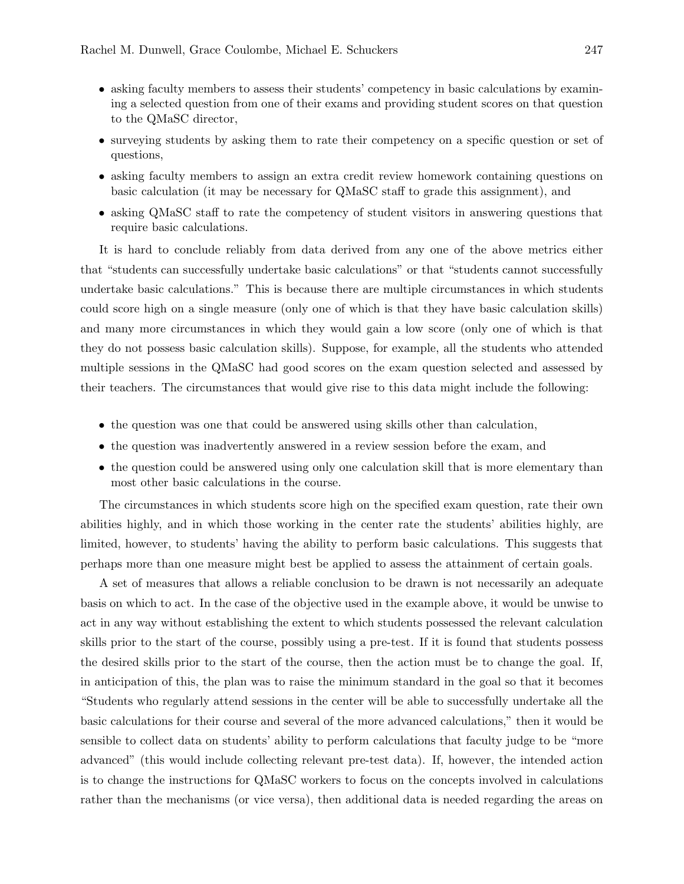- asking faculty members to assess their students' competency in basic calculations by examining a selected question from one of their exams and providing student scores on that question to the QMaSC director,
- surveying students by asking them to rate their competency on a specific question or set of questions,
- asking faculty members to assign an extra credit review homework containing questions on basic calculation (it may be necessary for QMaSC staff to grade this assignment), and
- asking QMaSC staff to rate the competency of student visitors in answering questions that require basic calculations.

It is hard to conclude reliably from data derived from any one of the above metrics either that "students can successfully undertake basic calculations" or that "students cannot successfully undertake basic calculations." This is because there are multiple circumstances in which students could score high on a single measure (only one of which is that they have basic calculation skills) and many more circumstances in which they would gain a low score (only one of which is that they do not possess basic calculation skills). Suppose, for example, all the students who attended multiple sessions in the QMaSC had good scores on the exam question selected and assessed by their teachers. The circumstances that would give rise to this data might include the following:

- the question was one that could be answered using skills other than calculation,
- the question was inadvertently answered in a review session before the exam, and
- the question could be answered using only one calculation skill that is more elementary than most other basic calculations in the course.

The circumstances in which students score high on the specified exam question, rate their own abilities highly, and in which those working in the center rate the students' abilities highly, are limited, however, to students' having the ability to perform basic calculations. This suggests that perhaps more than one measure might best be applied to assess the attainment of certain goals.

A set of measures that allows a reliable conclusion to be drawn is not necessarily an adequate basis on which to act. In the case of the objective used in the example above, it would be unwise to act in any way without establishing the extent to which students possessed the relevant calculation skills prior to the start of the course, possibly using a pre-test. If it is found that students possess the desired skills prior to the start of the course, then the action must be to change the goal. If, in anticipation of this, the plan was to raise the minimum standard in the goal so that it becomes "Students who regularly attend sessions in the center will be able to successfully undertake all the basic calculations for their course and several of the more advanced calculations," then it would be sensible to collect data on students' ability to perform calculations that faculty judge to be "more advanced" (this would include collecting relevant pre-test data). If, however, the intended action is to change the instructions for QMaSC workers to focus on the concepts involved in calculations rather than the mechanisms (or vice versa), then additional data is needed regarding the areas on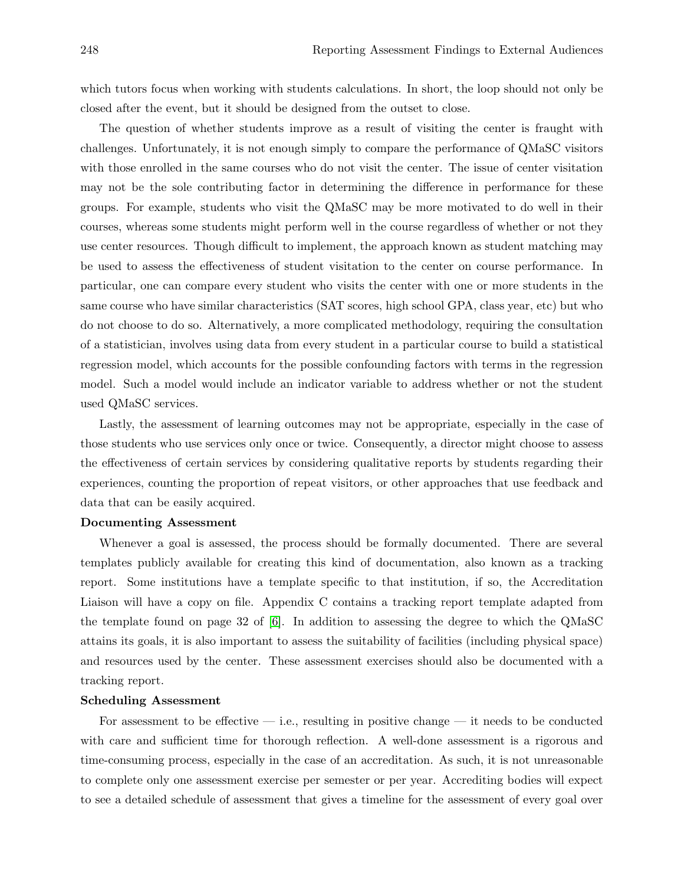which tutors focus when working with students calculations. In short, the loop should not only be closed after the event, but it should be designed from the outset to close.

The question of whether students improve as a result of visiting the center is fraught with challenges. Unfortunately, it is not enough simply to compare the performance of QMaSC visitors with those enrolled in the same courses who do not visit the center. The issue of center visitation may not be the sole contributing factor in determining the difference in performance for these groups. For example, students who visit the QMaSC may be more motivated to do well in their courses, whereas some students might perform well in the course regardless of whether or not they use center resources. Though difficult to implement, the approach known as student matching may be used to assess the effectiveness of student visitation to the center on course performance. In particular, one can compare every student who visits the center with one or more students in the same course who have similar characteristics (SAT scores, high school GPA, class year, etc) but who do not choose to do so. Alternatively, a more complicated methodology, requiring the consultation of a statistician, involves using data from every student in a particular course to build a statistical regression model, which accounts for the possible confounding factors with terms in the regression model. Such a model would include an indicator variable to address whether or not the student used QMaSC services.

Lastly, the assessment of learning outcomes may not be appropriate, especially in the case of those students who use services only once or twice. Consequently, a director might choose to assess the effectiveness of certain services by considering qualitative reports by students regarding their experiences, counting the proportion of repeat visitors, or other approaches that use feedback and data that can be easily acquired.

#### Documenting Assessment

Whenever a goal is assessed, the process should be formally documented. There are several templates publicly available for creating this kind of documentation, also known as a tracking report. Some institutions have a template specific to that institution, if so, the Accreditation Liaison will have a copy on file. Appendix C contains a tracking report template adapted from the template found on page 32 of [6]. In addition to assessing the degree to which the QMaSC attains its goals, it is also important to assess the suitability of facilities (including physical space) and resources used by the center. These assessment exercises should also be documented with a tracking report.

#### Scheduling Assessment

For assessment to be effective  $-$  i.e., resulting in positive change  $-$  it needs to be conducted with care and sufficient time for thorough reflection. A well-done assessment is a rigorous and time-consuming process, especially in the case of an accreditation. As such, it is not unreasonable to complete only one assessment exercise per semester or per year. Accrediting bodies will expect to see a detailed schedule of assessment that gives a timeline for the assessment of every goal over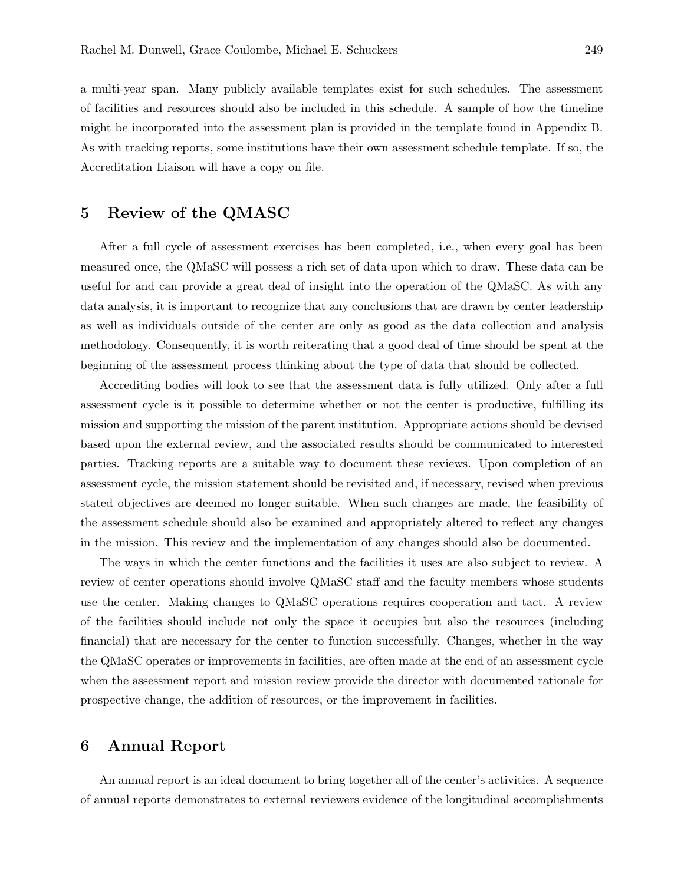a multi-year span. Many publicly available templates exist for such schedules. The assessment of facilities and resources should also be included in this schedule. A sample of how the timeline might be incorporated into the assessment plan is provided in the template found in Appendix B. As with tracking reports, some institutions have their own assessment schedule template. If so, the Accreditation Liaison will have a copy on file.

#### 5 Review of the QMASC

After a full cycle of assessment exercises has been completed, i.e., when every goal has been measured once, the QMaSC will possess a rich set of data upon which to draw. These data can be useful for and can provide a great deal of insight into the operation of the QMaSC. As with any data analysis, it is important to recognize that any conclusions that are drawn by center leadership as well as individuals outside of the center are only as good as the data collection and analysis methodology. Consequently, it is worth reiterating that a good deal of time should be spent at the beginning of the assessment process thinking about the type of data that should be collected.

Accrediting bodies will look to see that the assessment data is fully utilized. Only after a full assessment cycle is it possible to determine whether or not the center is productive, fulfilling its mission and supporting the mission of the parent institution. Appropriate actions should be devised based upon the external review, and the associated results should be communicated to interested parties. Tracking reports are a suitable way to document these reviews. Upon completion of an assessment cycle, the mission statement should be revisited and, if necessary, revised when previous stated objectives are deemed no longer suitable. When such changes are made, the feasibility of the assessment schedule should also be examined and appropriately altered to reflect any changes in the mission. This review and the implementation of any changes should also be documented.

The ways in which the center functions and the facilities it uses are also subject to review. A review of center operations should involve QMaSC staff and the faculty members whose students use the center. Making changes to QMaSC operations requires cooperation and tact. A review of the facilities should include not only the space it occupies but also the resources (including financial) that are necessary for the center to function successfully. Changes, whether in the way the QMaSC operates or improvements in facilities, are often made at the end of an assessment cycle when the assessment report and mission review provide the director with documented rationale for prospective change, the addition of resources, or the improvement in facilities.

#### 6 Annual Report

An annual report is an ideal document to bring together all of the center's activities. A sequence of annual reports demonstrates to external reviewers evidence of the longitudinal accomplishments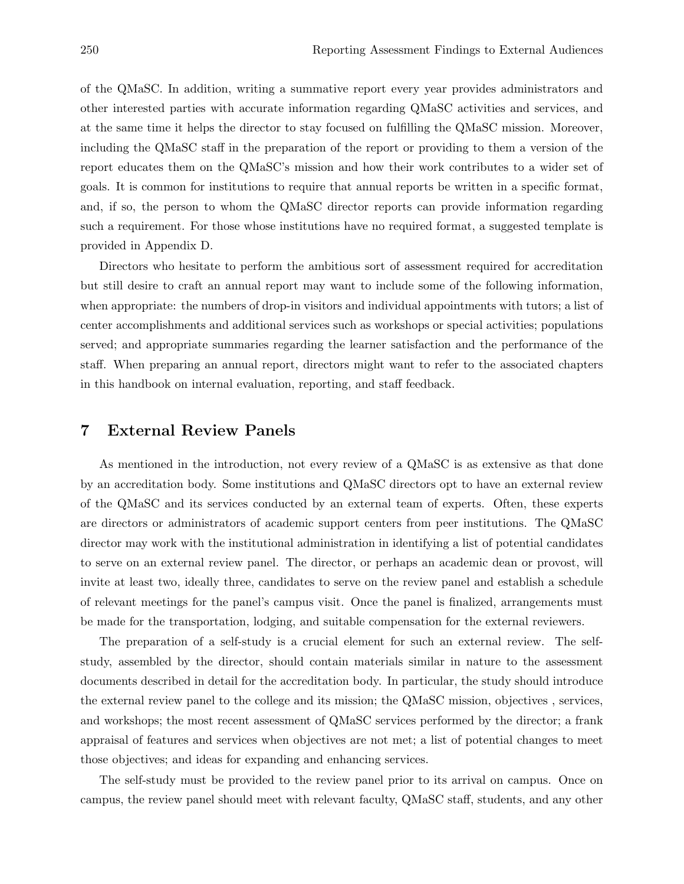of the QMaSC. In addition, writing a summative report every year provides administrators and other interested parties with accurate information regarding QMaSC activities and services, and at the same time it helps the director to stay focused on fulfilling the QMaSC mission. Moreover, including the QMaSC staff in the preparation of the report or providing to them a version of the report educates them on the QMaSC's mission and how their work contributes to a wider set of goals. It is common for institutions to require that annual reports be written in a specific format, and, if so, the person to whom the QMaSC director reports can provide information regarding such a requirement. For those whose institutions have no required format, a suggested template is provided in Appendix D.

Directors who hesitate to perform the ambitious sort of assessment required for accreditation but still desire to craft an annual report may want to include some of the following information, when appropriate: the numbers of drop-in visitors and individual appointments with tutors; a list of center accomplishments and additional services such as workshops or special activities; populations served; and appropriate summaries regarding the learner satisfaction and the performance of the staff. When preparing an annual report, directors might want to refer to the associated chapters in this handbook on internal evaluation, reporting, and staff feedback.

#### 7 External Review Panels

As mentioned in the introduction, not every review of a QMaSC is as extensive as that done by an accreditation body. Some institutions and QMaSC directors opt to have an external review of the QMaSC and its services conducted by an external team of experts. Often, these experts are directors or administrators of academic support centers from peer institutions. The QMaSC director may work with the institutional administration in identifying a list of potential candidates to serve on an external review panel. The director, or perhaps an academic dean or provost, will invite at least two, ideally three, candidates to serve on the review panel and establish a schedule of relevant meetings for the panel's campus visit. Once the panel is finalized, arrangements must be made for the transportation, lodging, and suitable compensation for the external reviewers.

The preparation of a self-study is a crucial element for such an external review. The selfstudy, assembled by the director, should contain materials similar in nature to the assessment documents described in detail for the accreditation body. In particular, the study should introduce the external review panel to the college and its mission; the QMaSC mission, objectives , services, and workshops; the most recent assessment of QMaSC services performed by the director; a frank appraisal of features and services when objectives are not met; a list of potential changes to meet those objectives; and ideas for expanding and enhancing services.

The self-study must be provided to the review panel prior to its arrival on campus. Once on campus, the review panel should meet with relevant faculty, QMaSC staff, students, and any other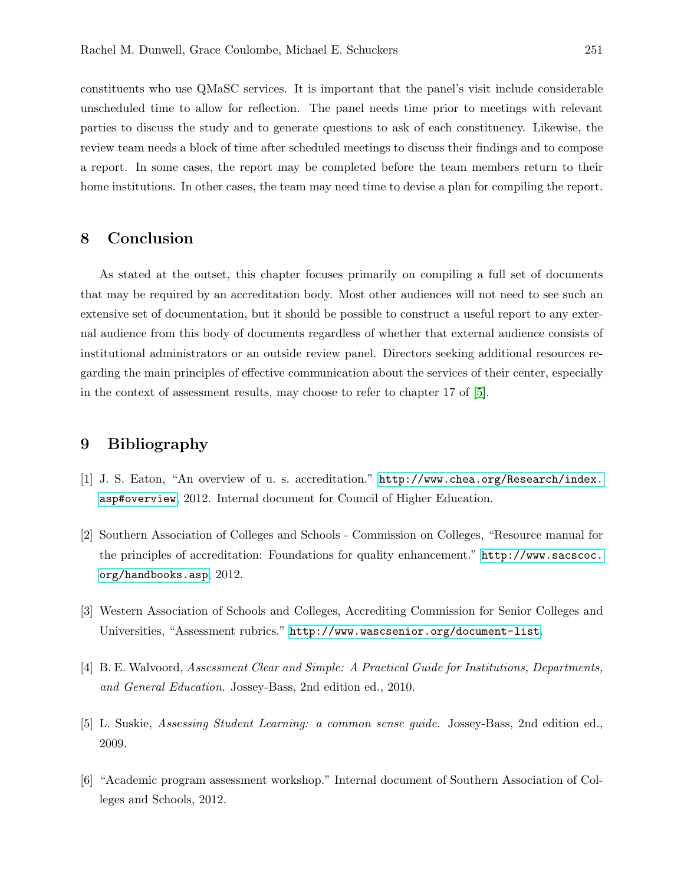constituents who use QMaSC services. It is important that the panel's visit include considerable unscheduled time to allow for reflection. The panel needs time prior to meetings with relevant parties to discuss the study and to generate questions to ask of each constituency. Likewise, the review team needs a block of time after scheduled meetings to discuss their findings and to compose a report. In some cases, the report may be completed before the team members return to their home institutions. In other cases, the team may need time to devise a plan for compiling the report.

#### 8 Conclusion

As stated at the outset, this chapter focuses primarily on compiling a full set of documents that may be required by an accreditation body. Most other audiences will not need to see such an extensive set of documentation, but it should be possible to construct a useful report to any external audience from this body of documents regardless of whether that external audience consists of institutional administrators or an outside review panel. Directors seeking additional resources regarding the main principles of effective communication about the services of their center, especially in the context of assessment results, may choose to refer to chapter 17 of [5].

#### 9 Bibliography

- [1] J. S. Eaton, "An overview of u. s. accreditation." [http://www.chea.org/Research/index.](http://www.chea.org/Research/index.asp#overview) [asp#overview](http://www.chea.org/Research/index.asp#overview), 2012. Internal document for Council of Higher Education.
- [2] Southern Association of Colleges and Schools Commission on Colleges, "Resource manual for the principles of accreditation: Foundations for quality enhancement." [http://www.sacscoc.](http://www.sacscoc.org/handbooks.asp) [org/handbooks.asp](http://www.sacscoc.org/handbooks.asp), 2012.
- [3] Western Association of Schools and Colleges, Accrediting Commission for Senior Colleges and Universities, "Assessment rubrics." <http://www.wascsenior.org/document-list>.
- [4] B. E. Walvoord, Assessment Clear and Simple: A Practical Guide for Institutions, Departments, and General Education. Jossey-Bass, 2nd edition ed., 2010.
- [5] L. Suskie, Assessing Student Learning: a common sense guide. Jossey-Bass, 2nd edition ed., 2009.
- [6] "Academic program assessment workshop." Internal document of Southern Association of Colleges and Schools, 2012.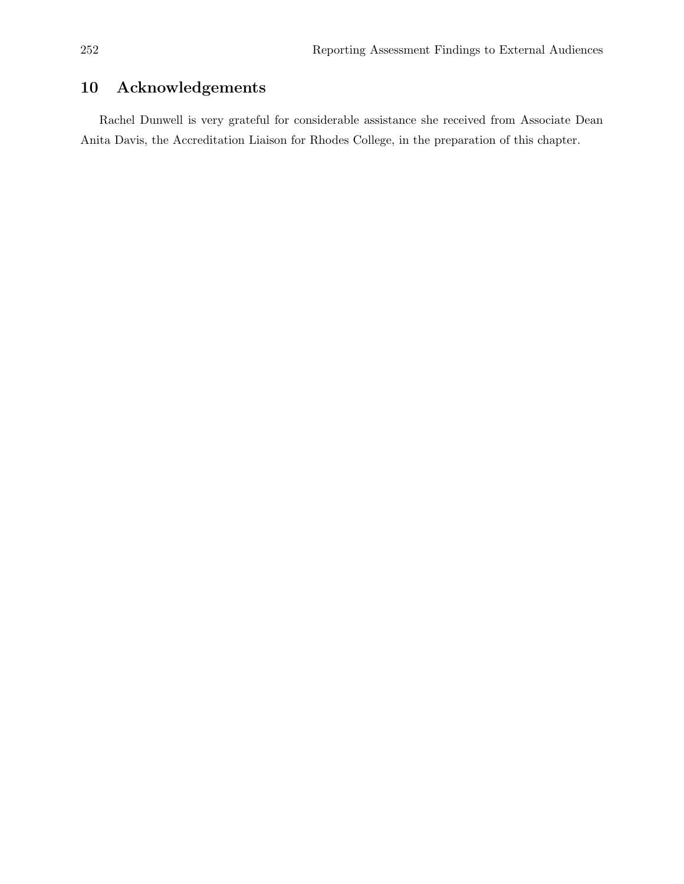# 10 Acknowledgements

Rachel Dunwell is very grateful for considerable assistance she received from Associate Dean Anita Davis, the Accreditation Liaison for Rhodes College, in the preparation of this chapter.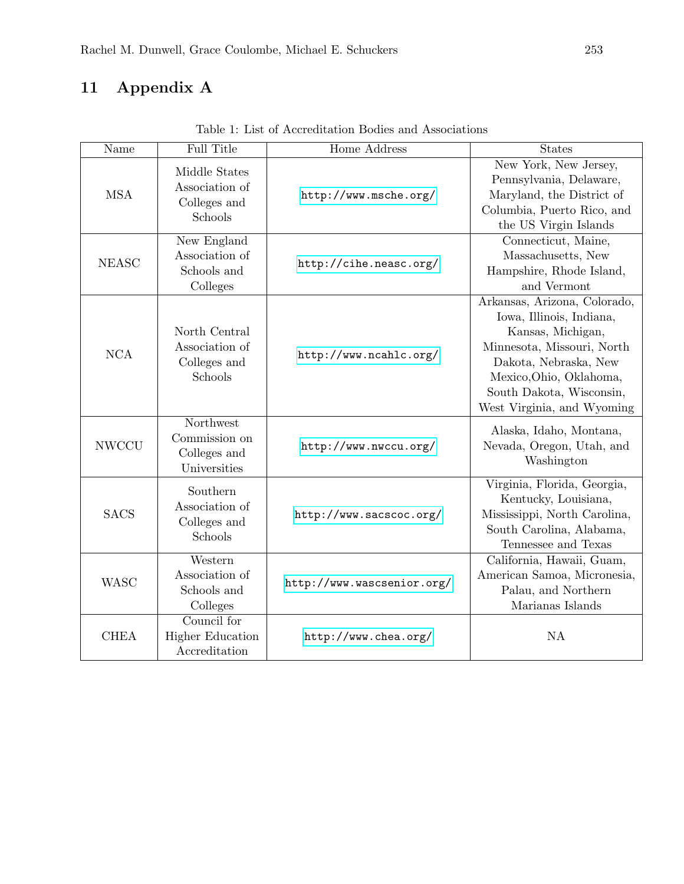# 11 Appendix A

| Name         | <b>Full Title</b>                                          | Home Address               | <b>States</b>                                                                                                                                                                                                             |  |
|--------------|------------------------------------------------------------|----------------------------|---------------------------------------------------------------------------------------------------------------------------------------------------------------------------------------------------------------------------|--|
| <b>MSA</b>   | Middle States<br>Association of<br>Colleges and<br>Schools | http://www.msche.org/      | New York, New Jersey,<br>Pennsylvania, Delaware,<br>Maryland, the District of<br>Columbia, Puerto Rico, and<br>the US Virgin Islands                                                                                      |  |
| <b>NEASC</b> | New England<br>Association of<br>Schools and<br>Colleges   | http://cihe.neasc.org/     | Connecticut, Maine,<br>Massachusetts, New<br>Hampshire, Rhode Island,<br>and Vermont                                                                                                                                      |  |
| <b>NCA</b>   | North Central<br>Association of<br>Colleges and<br>Schools | http://www.ncahlc.org/     | Arkansas, Arizona, Colorado,<br>Iowa, Illinois, Indiana,<br>Kansas, Michigan,<br>Minnesota, Missouri, North<br>Dakota, Nebraska, New<br>Mexico, Ohio, Oklahoma,<br>South Dakota, Wisconsin,<br>West Virginia, and Wyoming |  |
| <b>NWCCU</b> | Northwest<br>Commission on<br>Colleges and<br>Universities | http://www.nwccu.org/      | Alaska, Idaho, Montana,<br>Nevada, Oregon, Utah, and<br>Washington                                                                                                                                                        |  |
| <b>SACS</b>  | Southern<br>Association of<br>Colleges and<br>Schools      | http://www.sacscoc.org/    | Virginia, Florida, Georgia,<br>Kentucky, Louisiana,<br>Mississippi, North Carolina,<br>South Carolina, Alabama,<br>Tennessee and Texas                                                                                    |  |
| <b>WASC</b>  | Western<br>Association of<br>Schools and<br>Colleges       | http://www.wascsenior.org/ | California, Hawaii, Guam,<br>American Samoa, Micronesia,<br>Palau, and Northern<br>Marianas Islands                                                                                                                       |  |
| <b>CHEA</b>  | Council for<br><b>Higher Education</b><br>Accreditation    | http://www.chea.org/       | <b>NA</b>                                                                                                                                                                                                                 |  |

Table 1: List of Accreditation Bodies and Associations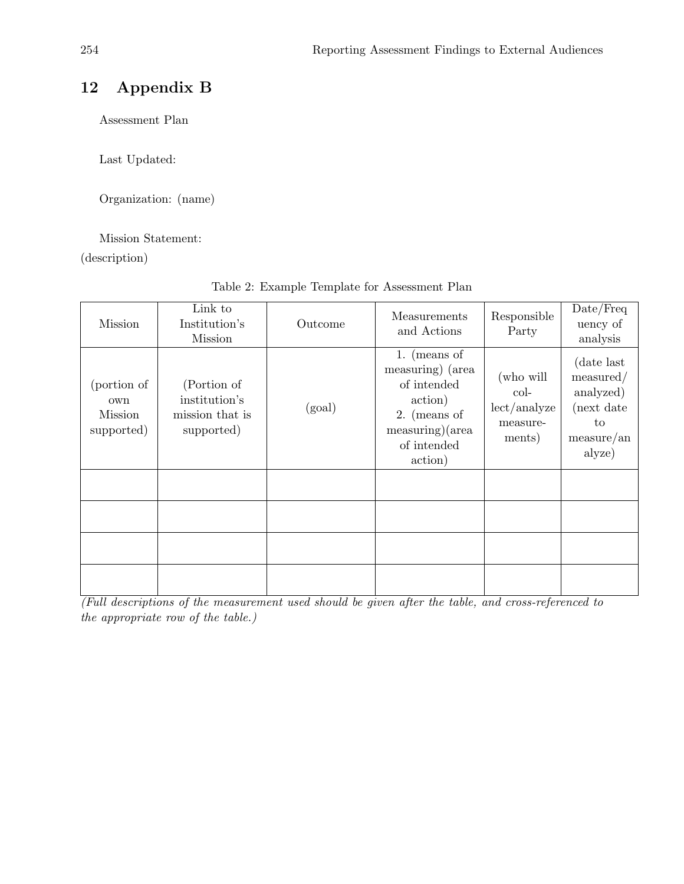# 12 Appendix B

Assessment Plan

Last Updated:

Organization: (name)

#### Mission Statement:

(description)

| <b>Mission</b>                                     | Link to<br>Institution's<br><b>Mission</b>                    | Outcome | Measurements<br>and Actions                                                                                               | Responsible<br>Party                                    | Date/Freq<br>uency of<br>analysis                                                  |
|----------------------------------------------------|---------------------------------------------------------------|---------|---------------------------------------------------------------------------------------------------------------------------|---------------------------------------------------------|------------------------------------------------------------------------------------|
| (portion of<br>own<br><b>Mission</b><br>supported) | (Portion of<br>institution's<br>mission that is<br>supported) | (goal)  | 1. (means of<br>measuring) (area<br>of intended<br>action)<br>$2.$ (means of<br>measuring)(area<br>of intended<br>action) | (who will<br>col-<br>lect/analyze<br>measure-<br>ments) | (date last)<br>measured/<br>analyzed)<br>(next date<br>to<br>measure(an)<br>alyze) |
|                                                    |                                                               |         |                                                                                                                           |                                                         |                                                                                    |
|                                                    |                                                               |         |                                                                                                                           |                                                         |                                                                                    |
|                                                    |                                                               |         |                                                                                                                           |                                                         |                                                                                    |
|                                                    |                                                               |         |                                                                                                                           |                                                         |                                                                                    |

#### Table 2: Example Template for Assessment Plan

 $\frac{1}{\sqrt{1-\frac{1}{\sqrt{1-\frac{1}{\sqrt{1-\frac{1}{\sqrt{1-\frac{1}{\sqrt{1-\frac{1}{\sqrt{1-\frac{1}{\sqrt{1-\frac{1}{\sqrt{1-\frac{1}{\sqrt{1-\frac{1}{\sqrt{1-\frac{1}{\sqrt{1-\frac{1}{\sqrt{1-\frac{1}{\sqrt{1-\frac{1}{\sqrt{1-\frac{1}{\sqrt{1-\frac{1}{\sqrt{1-\frac{1}{\sqrt{1-\frac{1}{\sqrt{1-\frac{1}{\sqrt{1-\frac{1}{\sqrt{1-\frac{1}{\sqrt{1-\frac{1}{\sqrt{1-\frac{1}{\sqrt{1-\frac{1}{\sqrt{1-\frac{1$ the appropriate row of the table.)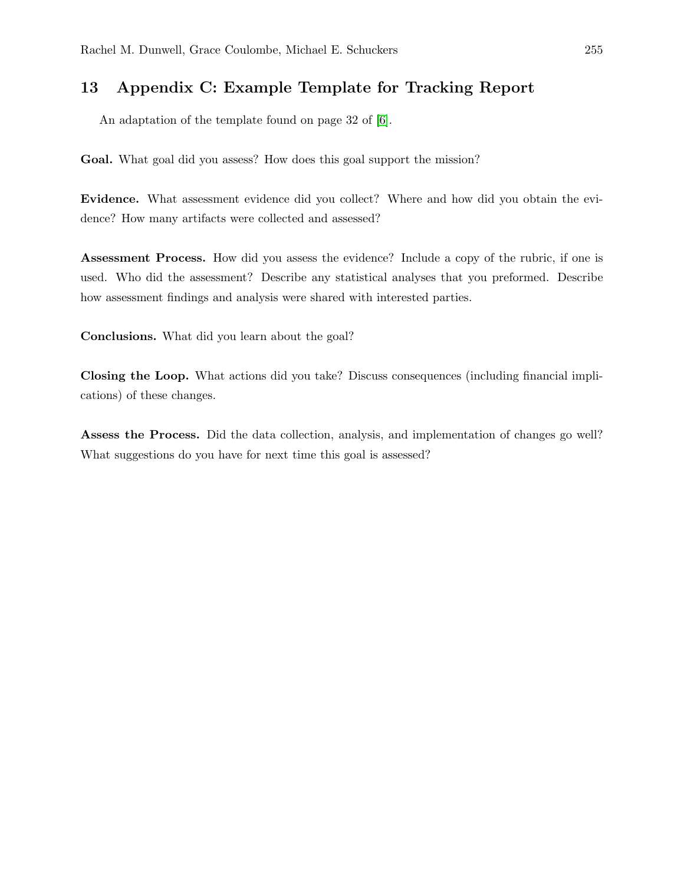# 13 Appendix C: Example Template for Tracking Report

An adaptation of the template found on page 32 of [6].

Goal. What goal did you assess? How does this goal support the mission?

Evidence. What assessment evidence did you collect? Where and how did you obtain the evidence? How many artifacts were collected and assessed?

Assessment Process. How did you assess the evidence? Include a copy of the rubric, if one is used. Who did the assessment? Describe any statistical analyses that you preformed. Describe how assessment findings and analysis were shared with interested parties.

Conclusions. What did you learn about the goal?

Closing the Loop. What actions did you take? Discuss consequences (including financial implications) of these changes.

Assess the Process. Did the data collection, analysis, and implementation of changes go well? What suggestions do you have for next time this goal is assessed?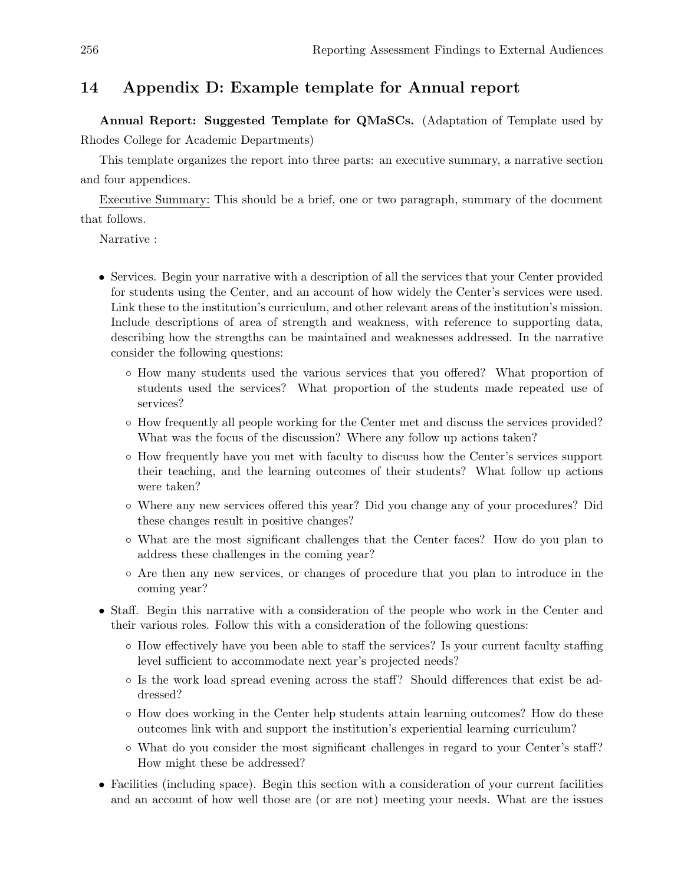### 14 Appendix D: Example template for Annual report

Annual Report: Suggested Template for QMaSCs. (Adaptation of Template used by Rhodes College for Academic Departments)

This template organizes the report into three parts: an executive summary, a narrative section and four appendices.

Executive Summary: This should be a brief, one or two paragraph, summary of the document that follows.

Narrative :

- Services. Begin your narrative with a description of all the services that your Center provided for students using the Center, and an account of how widely the Center's services were used. Link these to the institution's curriculum, and other relevant areas of the institution's mission. Include descriptions of area of strength and weakness, with reference to supporting data, describing how the strengths can be maintained and weaknesses addressed. In the narrative consider the following questions:
	- How many students used the various services that you offered? What proportion of students used the services? What proportion of the students made repeated use of services?
	- How frequently all people working for the Center met and discuss the services provided? What was the focus of the discussion? Where any follow up actions taken?
	- How frequently have you met with faculty to discuss how the Center's services support their teaching, and the learning outcomes of their students? What follow up actions were taken?
	- Where any new services offered this year? Did you change any of your procedures? Did these changes result in positive changes?
	- What are the most significant challenges that the Center faces? How do you plan to address these challenges in the coming year?
	- Are then any new services, or changes of procedure that you plan to introduce in the coming year?
- Staff. Begin this narrative with a consideration of the people who work in the Center and their various roles. Follow this with a consideration of the following questions:
	- How effectively have you been able to staff the services? Is your current faculty staffing level sufficient to accommodate next year's projected needs?
	- Is the work load spread evening across the staff? Should differences that exist be addressed?
	- How does working in the Center help students attain learning outcomes? How do these outcomes link with and support the institution's experiential learning curriculum?
	- What do you consider the most significant challenges in regard to your Center's staff? How might these be addressed?
- Facilities (including space). Begin this section with a consideration of your current facilities and an account of how well those are (or are not) meeting your needs. What are the issues